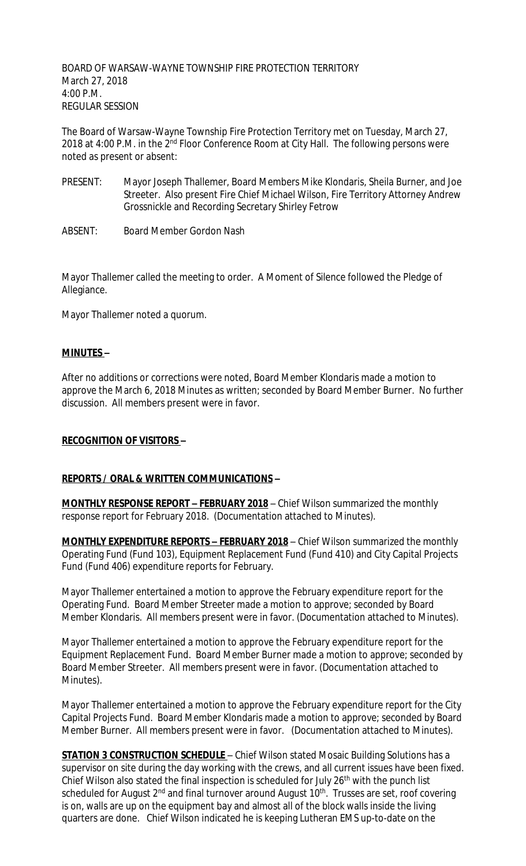BOARD OF WARSAW-WAYNE TOWNSHIP FIRE PROTECTION TERRITORY March 27, 2018 4:00 P.M. REGULAR SESSION

The Board of Warsaw-Wayne Township Fire Protection Territory met on Tuesday, March 27, 2018 at 4:00 P.M. in the 2<sup>nd</sup> Floor Conference Room at City Hall. The following persons were noted as present or absent:

- PRESENT: Mayor Joseph Thallemer, Board Members Mike Klondaris, Sheila Burner, and Joe Streeter. Also present Fire Chief Michael Wilson, Fire Territory Attorney Andrew Grossnickle and Recording Secretary Shirley Fetrow
- ABSENT: Board Member Gordon Nash

Mayor Thallemer called the meeting to order. A Moment of Silence followed the Pledge of Allegiance.

Mayor Thallemer noted a quorum.

#### **MINUTES –**

After no additions or corrections were noted, Board Member Klondaris made a motion to approve the March 6, 2018 Minutes as written; seconded by Board Member Burner. No further discussion. All members present were in favor.

#### **RECOGNITION OF VISITORS –**

#### **REPORTS / ORAL & WRITTEN COMMUNICATIONS –**

**MONTHLY RESPONSE REPORT – FEBRUARY 2018** – Chief Wilson summarized the monthly response report for February 2018. (Documentation attached to Minutes).

**MONTHLY EXPENDITURE REPORTS – FEBRUARY 2018** – Chief Wilson summarized the monthly Operating Fund (Fund 103), Equipment Replacement Fund (Fund 410) and City Capital Projects Fund (Fund 406) expenditure reports for February.

Mayor Thallemer entertained a motion to approve the February expenditure report for the Operating Fund. Board Member Streeter made a motion to approve; seconded by Board Member Klondaris. All members present were in favor. (Documentation attached to Minutes).

Mayor Thallemer entertained a motion to approve the February expenditure report for the Equipment Replacement Fund. Board Member Burner made a motion to approve; seconded by Board Member Streeter. All members present were in favor. (Documentation attached to Minutes).

Mayor Thallemer entertained a motion to approve the February expenditure report for the City Capital Projects Fund. Board Member Klondaris made a motion to approve; seconded by Board Member Burner. All members present were in favor. (Documentation attached to Minutes).

**STATION 3 CONSTRUCTION SCHEDULE** – Chief Wilson stated Mosaic Building Solutions has a supervisor on site during the day working with the crews, and all current issues have been fixed. Chief Wilson also stated the final inspection is scheduled for July 26<sup>th</sup> with the punch list scheduled for August 2<sup>nd</sup> and final turnover around August 10<sup>th</sup>. Trusses are set, roof covering is on, walls are up on the equipment bay and almost all of the block walls inside the living quarters are done. Chief Wilson indicated he is keeping Lutheran EMS up-to-date on the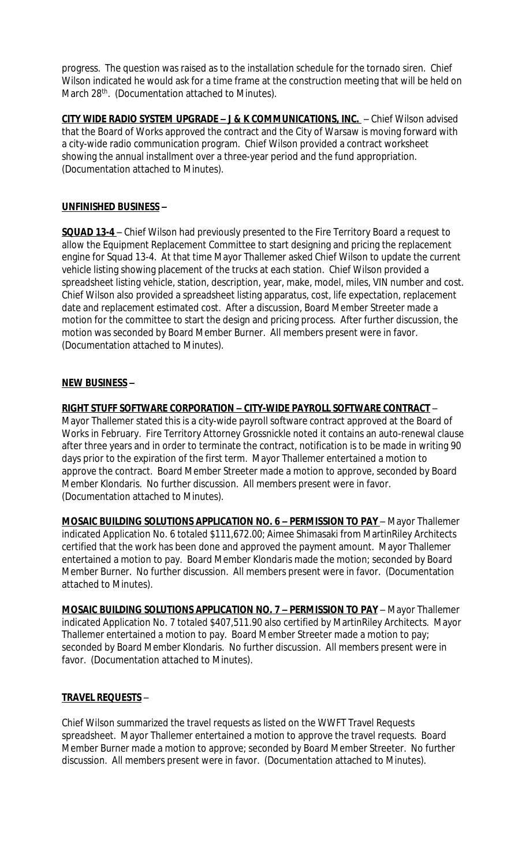progress. The question was raised as to the installation schedule for the tornado siren. Chief Wilson indicated he would ask for a time frame at the construction meeting that will be held on March 28<sup>th</sup>. (Documentation attached to Minutes).

**CITY WIDE RADIO SYSTEM UPGRADE – J & K COMMUNICATIONS, INC.** – Chief Wilson advised that the Board of Works approved the contract and the City of Warsaw is moving forward with a city-wide radio communication program. Chief Wilson provided a contract worksheet showing the annual installment over a three-year period and the fund appropriation. (Documentation attached to Minutes).

## **UNFINISHED BUSINESS –**

**SQUAD 13-4** – Chief Wilson had previously presented to the Fire Territory Board a request to allow the Equipment Replacement Committee to start designing and pricing the replacement engine for Squad 13-4. At that time Mayor Thallemer asked Chief Wilson to update the current vehicle listing showing placement of the trucks at each station. Chief Wilson provided a spreadsheet listing vehicle, station, description, year, make, model, miles, VIN number and cost. Chief Wilson also provided a spreadsheet listing apparatus, cost, life expectation, replacement date and replacement estimated cost. After a discussion, Board Member Streeter made a motion for the committee to start the design and pricing process. After further discussion, the motion was seconded by Board Member Burner. All members present were in favor. (Documentation attached to Minutes).

## **NEW BUSINESS –**

**RIGHT STUFF SOFTWARE CORPORATION – CITY-WIDE PAYROLL SOFTWARE CONTRACT** –

Mayor Thallemer stated this is a city-wide payroll software contract approved at the Board of Works in February. Fire Territory Attorney Grossnickle noted it contains an auto-renewal clause after three years and in order to terminate the contract, notification is to be made in writing 90 days prior to the expiration of the first term. Mayor Thallemer entertained a motion to approve the contract. Board Member Streeter made a motion to approve, seconded by Board Member Klondaris. No further discussion. All members present were in favor. (Documentation attached to Minutes).

**MOSAIC BUILDING SOLUTIONS APPLICATION NO. 6 - PERMISSION TO PAY - Mayor Thallemer** indicated Application No. 6 totaled \$111,672.00; Aimee Shimasaki from MartinRiley Architects certified that the work has been done and approved the payment amount. Mayor Thallemer entertained a motion to pay. Board Member Klondaris made the motion; seconded by Board Member Burner. No further discussion. All members present were in favor. (Documentation attached to Minutes).

**MOSAIC BUILDING SOLUTIONS APPLICATION NO. 7 - PERMISSION TO PAY - Mayor Thallemer** indicated Application No. 7 totaled \$407,511.90 also certified by MartinRiley Architects. Mayor Thallemer entertained a motion to pay. Board Member Streeter made a motion to pay; seconded by Board Member Klondaris. No further discussion. All members present were in favor. (Documentation attached to Minutes).

#### **TRAVEL REQUESTS** –

Chief Wilson summarized the travel requests as listed on the WWFT Travel Requests spreadsheet. Mayor Thallemer entertained a motion to approve the travel requests. Board Member Burner made a motion to approve; seconded by Board Member Streeter. No further discussion. All members present were in favor. (Documentation attached to Minutes).